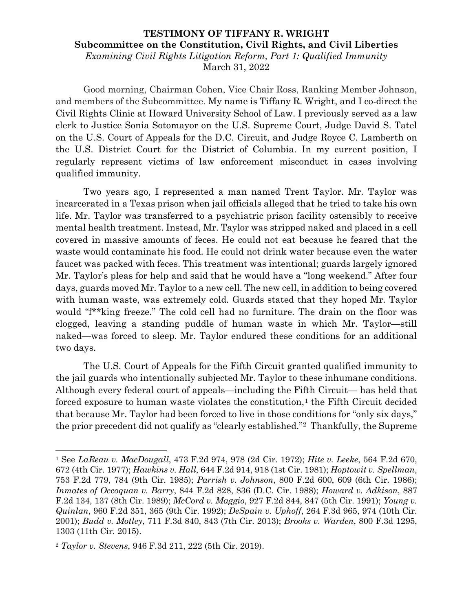## **TESTIMONY OF TIFFANY R. WRIGHT Subcommittee on the Constitution, Civil Rights, and Civil Liberties** *Examining Civil Rights Litigation Reform, Part 1: Qualified Immunity* March 31, 2022

Good morning, Chairman Cohen, Vice Chair Ross, Ranking Member Johnson, and members of the Subcommittee. My name is Tiffany R. Wright, and I co-direct the Civil Rights Clinic at Howard University School of Law. I previously served as a law clerk to Justice Sonia Sotomayor on the U.S. Supreme Court, Judge David S. Tatel on the U.S. Court of Appeals for the D.C. Circuit, and Judge Royce C. Lamberth on the U.S. District Court for the District of Columbia. In my current position, I regularly represent victims of law enforcement misconduct in cases involving qualified immunity.

Two years ago, I represented a man named Trent Taylor. Mr. Taylor was incarcerated in a Texas prison when jail officials alleged that he tried to take his own life. Mr. Taylor was transferred to a psychiatric prison facility ostensibly to receive mental health treatment. Instead, Mr. Taylor was stripped naked and placed in a cell covered in massive amounts of feces. He could not eat because he feared that the waste would contaminate his food. He could not drink water because even the water faucet was packed with feces. This treatment was intentional; guards largely ignored Mr. Taylor's pleas for help and said that he would have a "long weekend." After four days, guards moved Mr. Taylor to a new cell. The new cell, in addition to being covered with human waste, was extremely cold. Guards stated that they hoped Mr. Taylor would "f\*\*king freeze." The cold cell had no furniture. The drain on the floor was clogged, leaving a standing puddle of human waste in which Mr. Taylor—still naked—was forced to sleep. Mr. Taylor endured these conditions for an additional two days.

The U.S. Court of Appeals for the Fifth Circuit granted qualified immunity to the jail guards who intentionally subjected Mr. Taylor to these inhumane conditions. Although every federal court of appeals—including the Fifth Circuit— has held that forced exposure to human waste violates the constitution, $<sup>1</sup>$  $<sup>1</sup>$  $<sup>1</sup>$  the Fifth Circuit decided</sup> that because Mr. Taylor had been forced to live in those conditions for "only six days," the prior precedent did not qualify as "clearly established."[2](#page-0-1) Thankfully, the Supreme

<span id="page-0-0"></span><sup>1</sup> See *LaReau v. MacDougall*, 473 F.2d 974, 978 (2d Cir. 1972); *Hite v. Leeke*, 564 F.2d 670, 672 (4th Cir. 1977); *Hawkins v. Hall*, 644 F.2d 914, 918 (1st Cir. 1981); *Hoptowit v. Spellman*, 753 F.2d 779, 784 (9th Cir. 1985); *Parrish v. Johnson*, 800 F.2d 600, 609 (6th Cir. 1986); *Inmates of Occoquan v. Barry*, 844 F.2d 828, 836 (D.C. Cir. 1988); *Howard v. Adkison*, 887 F.2d 134, 137 (8th Cir. 1989); *McCord v. Maggio*, 927 F.2d 844, 847 (5th Cir. 1991); *Young v. Quinlan*, 960 F.2d 351, 365 (9th Cir. 1992); *DeSpain v. Uphoff*, 264 F.3d 965, 974 (10th Cir. 2001); *Budd v. Motley*, 711 F.3d 840, 843 (7th Cir. 2013); *Brooks v. Warden*, 800 F.3d 1295, 1303 (11th Cir. 2015).

<span id="page-0-1"></span><sup>2</sup> *Taylor v. Stevens*, 946 F.3d 211, 222 (5th Cir. 2019).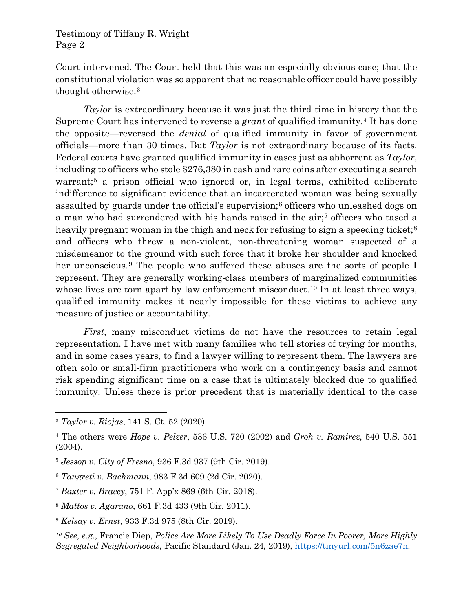## Testimony of Tiffany R. Wright Page 2

Court intervened. The Court held that this was an especially obvious case; that the constitutional violation was so apparent that no reasonable officer could have possibly thought otherwise.[3](#page-1-0)

*Taylor* is extraordinary because it was just the third time in history that the Supreme Court has intervened to reverse a *grant* of qualified immunity.[4](#page-1-1) It has done the opposite—reversed the *denial* of qualified immunity in favor of government officials—more than 30 times. But *Taylor* is not extraordinary because of its facts. Federal courts have granted qualified immunity in cases just as abhorrent as *Taylor*, including to officers who stole \$276,380 in cash and rare coins after executing a search warrant;<sup>[5](#page-1-2)</sup> a prison official who ignored or, in legal terms, exhibited deliberate indifference to significant evidence that an incarcerated woman was being sexually assaulted by guards under the official's supervision;[6](#page-1-3) officers who unleashed dogs on a man who had surrendered with his hands raised in the air;[7](#page-1-4) officers who tased a heavily pregnant woman in the thigh and neck for refusing to sign a speeding ticket;<sup>[8](#page-1-5)</sup> and officers who threw a non-violent, non-threatening woman suspected of a misdemeanor to the ground with such force that it broke her shoulder and knocked her unconscious.<sup>[9](#page-1-6)</sup> The people who suffered these abuses are the sorts of people I represent. They are generally working-class members of marginalized communities whose lives are torn apart by law enforcement misconduct.<sup>[10](#page-1-7)</sup> In at least three ways, qualified immunity makes it nearly impossible for these victims to achieve any measure of justice or accountability.

*First*, many misconduct victims do not have the resources to retain legal representation. I have met with many families who tell stories of trying for months, and in some cases years, to find a lawyer willing to represent them. The lawyers are often solo or small-firm practitioners who work on a contingency basis and cannot risk spending significant time on a case that is ultimately blocked due to qualified immunity. Unless there is prior precedent that is materially identical to the case

<span id="page-1-3"></span><sup>6</sup> *Tangreti v. Bachmann*, 983 F.3d 609 (2d Cir. 2020).

<span id="page-1-0"></span><sup>3</sup> *Taylor v. Riojas*, 141 S. Ct. 52 (2020).

<span id="page-1-1"></span><sup>4</sup> The others were *Hope v. Pelzer*, 536 U.S. 730 (2002) and *Groh v. Ramirez*, 540 U.S. 551 (2004).

<span id="page-1-2"></span><sup>5</sup> *Jessop v. City of Fresno*, 936 F.3d 937 (9th Cir. 2019).

<span id="page-1-4"></span><sup>7</sup> *Baxter v. Bracey*, 751 F. App'x 869 (6th Cir. 2018).

<span id="page-1-5"></span><sup>8</sup> *Mattos v. Agarano*, 661 F.3d 433 (9th Cir. 2011).

<span id="page-1-6"></span><sup>9</sup> *Kelsay v. Ernst*, 933 F.3d 975 (8th Cir. 2019).

<span id="page-1-7"></span>*<sup>10</sup> See, e.g*., Francie Diep, *Police Are More Likely To Use Deadly Force In Poorer, More Highly Segregated Neighborhoods*, Pacific Standard (Jan. 24, 2019), [https://tinyurl.com/5n6zae7n.](https://tinyurl.com/5n6zae7n)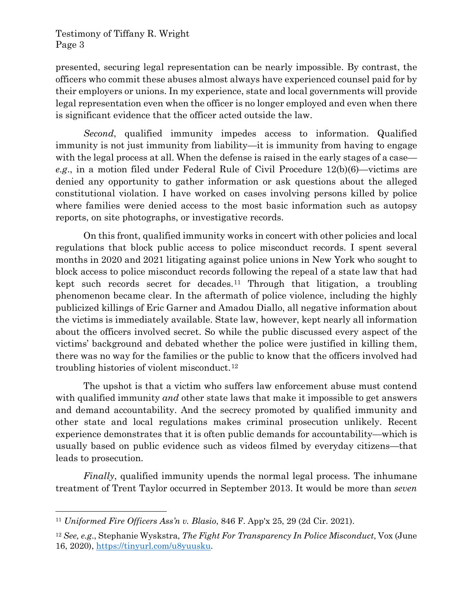## Testimony of Tiffany R. Wright Page 3

presented, securing legal representation can be nearly impossible. By contrast, the officers who commit these abuses almost always have experienced counsel paid for by their employers or unions. In my experience, state and local governments will provide legal representation even when the officer is no longer employed and even when there is significant evidence that the officer acted outside the law.

*Second*, qualified immunity impedes access to information. Qualified immunity is not just immunity from liability—it is immunity from having to engage with the legal process at all. When the defense is raised in the early stages of a case *e.g*., in a motion filed under Federal Rule of Civil Procedure 12(b)(6)—victims are denied any opportunity to gather information or ask questions about the alleged constitutional violation. I have worked on cases involving persons killed by police where families were denied access to the most basic information such as autopsy reports, on site photographs, or investigative records.

On this front, qualified immunity works in concert with other policies and local regulations that block public access to police misconduct records. I spent several months in 2020 and 2021 litigating against police unions in New York who sought to block access to police misconduct records following the repeal of a state law that had kept such records secret for decades.[11](#page-2-0) Through that litigation, a troubling phenomenon became clear. In the aftermath of police violence, including the highly publicized killings of Eric Garner and Amadou Diallo, all negative information about the victims is immediately available. State law, however, kept nearly all information about the officers involved secret. So while the public discussed every aspect of the victims' background and debated whether the police were justified in killing them, there was no way for the families or the public to know that the officers involved had troubling histories of violent misconduct.[12](#page-2-1)

The upshot is that a victim who suffers law enforcement abuse must contend with qualified immunity *and* other state laws that make it impossible to get answers and demand accountability. And the secrecy promoted by qualified immunity and other state and local regulations makes criminal prosecution unlikely. Recent experience demonstrates that it is often public demands for accountability—which is usually based on public evidence such as videos filmed by everyday citizens—that leads to prosecution.

*Finally*, qualified immunity upends the normal legal process. The inhumane treatment of Trent Taylor occurred in September 2013. It would be more than *seven* 

<span id="page-2-0"></span><sup>11</sup> *Uniformed Fire Officers Ass'n v. Blasio*, 846 F. App'x 25, 29 (2d Cir. 2021).

<span id="page-2-1"></span><sup>12</sup> *See, e.g*., Stephanie Wyskstra, *The Fight For Transparency In Police Misconduct*, Vox (June 16, 2020), [https://tinyurl.com/u8yuusku.](https://tinyurl.com/u8yuusku)